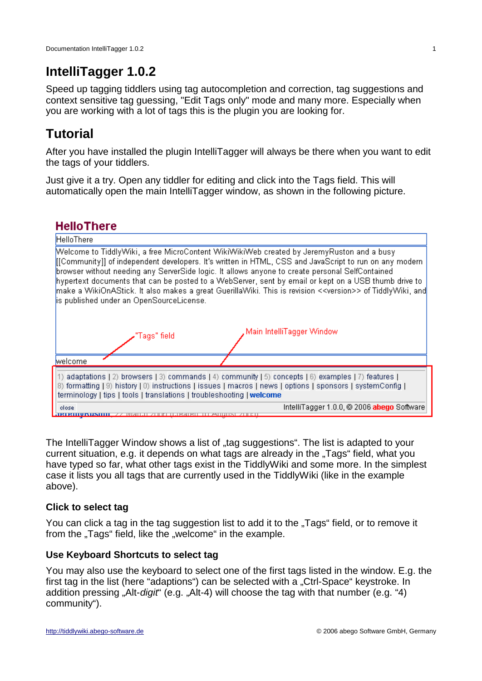# **IntelliTagger 1.0.2**

Speed up tagging tiddlers using tag autocompletion and correction, tag suggestions and context sensitive tag guessing, "Edit Tags only" mode and many more. Especially when you are working with a lot of tags this is the plugin you are looking for.

# **Tutorial**

After you have installed the plugin IntelliTagger will always be there when you want to edit the tags of your tiddlers.

Just give it a try. Open any tiddler for editing and click into the Tags field. This will automatically open the main IntelliTagger window, as shown in the following picture.



The IntelliTagger Window shows a list of "tag suggestions". The list is adapted to your current situation, e.g. it depends on what tags are already in the "Tags" field, what you have typed so far, what other tags exist in the TiddlyWiki and some more. In the simplest case it lists you all tags that are currently used in the TiddlyWiki (like in the example above).

## **Click to select tag**

You can click a tag in the tag suggestion list to add it to the "Tags" field, or to remove it from the "Tags" field, like the "welcome" in the example.

## **Use Keyboard Shortcuts to select tag**

You may also use the keyboard to select one of the first tags listed in the window. E.g. the first tag in the list (here "adaptions") can be selected with a "Ctrl-Space" keystroke. In addition pressing "Alt-*digit*" (e.g. "Alt-4) will choose the tag with that number (e.g. "4) community").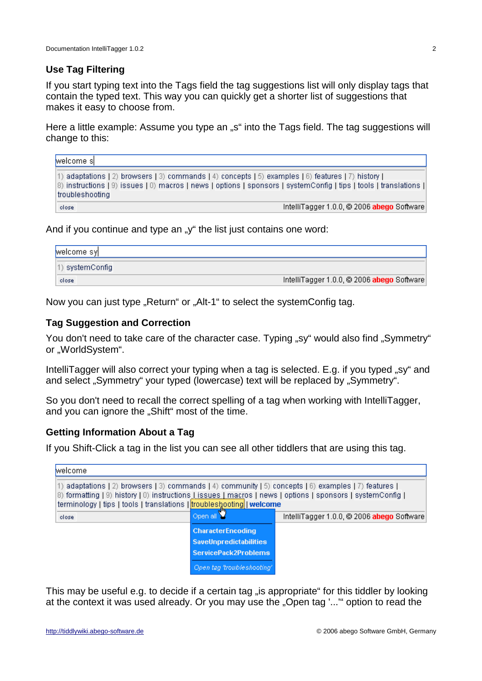#### **Use Tag Filtering**

If you start typing text into the Tags field the tag suggestions list will only display tags that contain the typed text. This way you can quickly get a shorter list of suggestions that makes it easy to choose from.

Here a little example: Assume you type an "s" into the Tags field. The tag suggestions will change to this:

| welcome s       |  |                                                                                                                |  |  |                                            |  |
|-----------------|--|----------------------------------------------------------------------------------------------------------------|--|--|--------------------------------------------|--|
|                 |  | [1] adaptations [2] browsers [3] commands [4] concepts [5] examples [6] features [7] history [                 |  |  |                                            |  |
|                 |  | 8) instructions [9) issues [0) macros   news   options   sponsors   systemConfig   tips   tools   translations |  |  |                                            |  |
| troubleshooting |  |                                                                                                                |  |  |                                            |  |
| close           |  |                                                                                                                |  |  | IntelliTagger 1.0.0, @ 2006 abego Software |  |

And if you continue and type an "y" the list just contains one word:

| welcome syj      |                                            |
|------------------|--------------------------------------------|
| (1) systemConfig |                                            |
| close            | IntelliTagger 1.0.0, @ 2006 abego Software |

Now you can just type "Return" or "Alt-1" to select the systemConfig tag.

### **Tag Suggestion and Correction**

You don't need to take care of the character case. Typing "sy" would also find "Symmetry" or "WorldSystem".

IntelliTagger will also correct your typing when a tag is selected. E.g. if you typed "sy" and and select "Symmetry" your typed (lowercase) text will be replaced by "Symmetry".

So you don't need to recall the correct spelling of a tag when working with IntelliTagger, and you can ignore the "Shift" most of the time.

#### **Getting Information About a Tag**

If you Shift-Click a tag in the list you can see all other tiddlers that are using this tag.

| welcome.                                                                                                                                                                                                                                                                            |                               |                                            |  |  |  |
|-------------------------------------------------------------------------------------------------------------------------------------------------------------------------------------------------------------------------------------------------------------------------------------|-------------------------------|--------------------------------------------|--|--|--|
| 1) adaptations [2) browsers [3) commands [4) community [5) concepts [6) examples [7) features [<br>8) formatting (9) history (0) instructions Lissues Lmacros   news   options   sponsors   systemConfig  <br>terminology   tips   tools   translations   troubleshooting   welcome |                               |                                            |  |  |  |
| close                                                                                                                                                                                                                                                                               | Open all                      | IntelliTagger 1.0.0, @ 2006 abego Software |  |  |  |
|                                                                                                                                                                                                                                                                                     | <b>CharacterEncoding</b>      |                                            |  |  |  |
|                                                                                                                                                                                                                                                                                     | <b>SaveUnpredictabilities</b> |                                            |  |  |  |
|                                                                                                                                                                                                                                                                                     | ServicePack2Problems          |                                            |  |  |  |
|                                                                                                                                                                                                                                                                                     | Open tag 'troubleshooting'    |                                            |  |  |  |

This may be useful e.g. to decide if a certain tag "is appropriate" for this tiddler by looking at the context it was used already. Or you may use the "Open tag '..." option to read the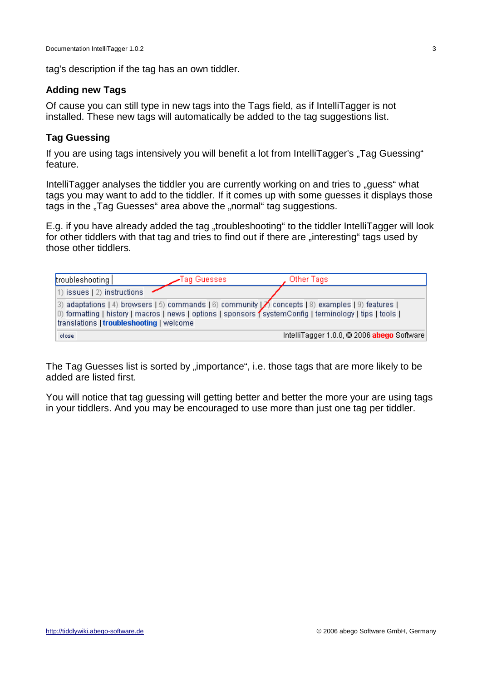tag's description if the tag has an own tiddler.

#### **Adding new Tags**

Of cause you can still type in new tags into the Tags field, as if IntelliTagger is not installed. These new tags will automatically be added to the tag suggestions list.

### **Tag Guessing**

If you are using tags intensively you will benefit a lot from IntelliTagger's "Tag Guessing" feature.

IntelliTagger analyses the tiddler you are currently working on and tries to "guess" what tags you may want to add to the tiddler. If it comes up with some guesses it displays those tags in the "Tag Guesses" area above the "normal" tag suggestions.

E.g. if you have already added the tag "troubleshooting" to the tiddler IntelliTagger will look for other tiddlers with that tag and tries to find out if there are "interesting" tags used by those other tiddlers.

| troubleshooting                          | Tag Guesses I | Other Tags                                                                                                                                                                                                    |  |
|------------------------------------------|---------------|---------------------------------------------------------------------------------------------------------------------------------------------------------------------------------------------------------------|--|
| 1) issues (2) instructions               |               |                                                                                                                                                                                                               |  |
| translations   troubleshooting   welcome |               | 3) adaptations (4) browsers (5) commands (6) community $ Z $ concepts (8) examples (9) features (<br>0) formatting   history   macros   news   options   sponsors   systemConfig   terminology   tips   tools |  |
| close                                    |               | IntelliTagger 1.0.0, @ 2006 abego Software                                                                                                                                                                    |  |

The Tag Guesses list is sorted by "importance", i.e. those tags that are more likely to be added are listed first.

You will notice that tag guessing will getting better and better the more your are using tags in your tiddlers. And you may be encouraged to use more than just one tag per tiddler.